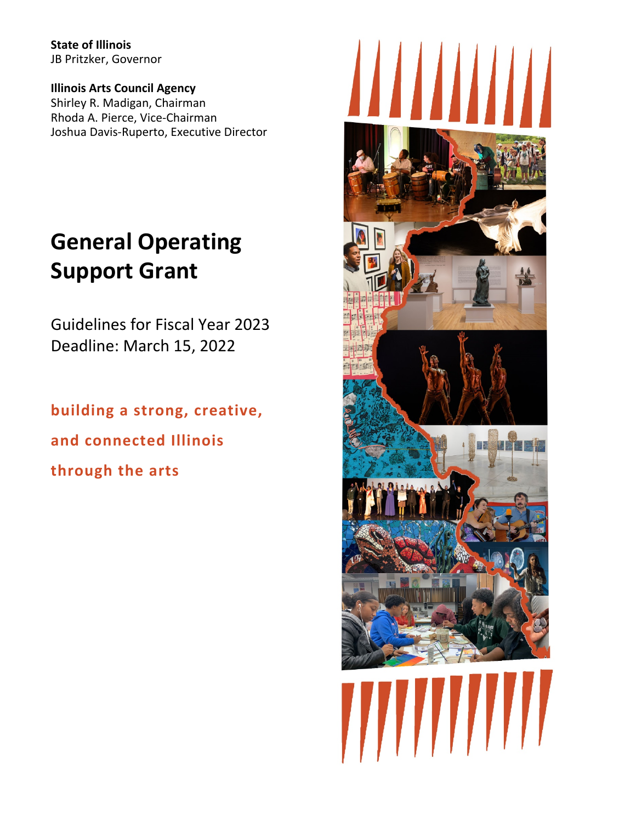**State of Illinois** JB Pritzker, Governor

**Illinois Arts Council Agency** Shirley R. Madigan, Chairman Rhoda A. Pierce, Vice-Chairman Joshua Davis-Ruperto, Executive Director

# **General Operating Support Grant**

Guidelines for Fiscal Year 2023 Deadline: March 15, 2022

**building a strong, creative, and connected Illinois through the arts**

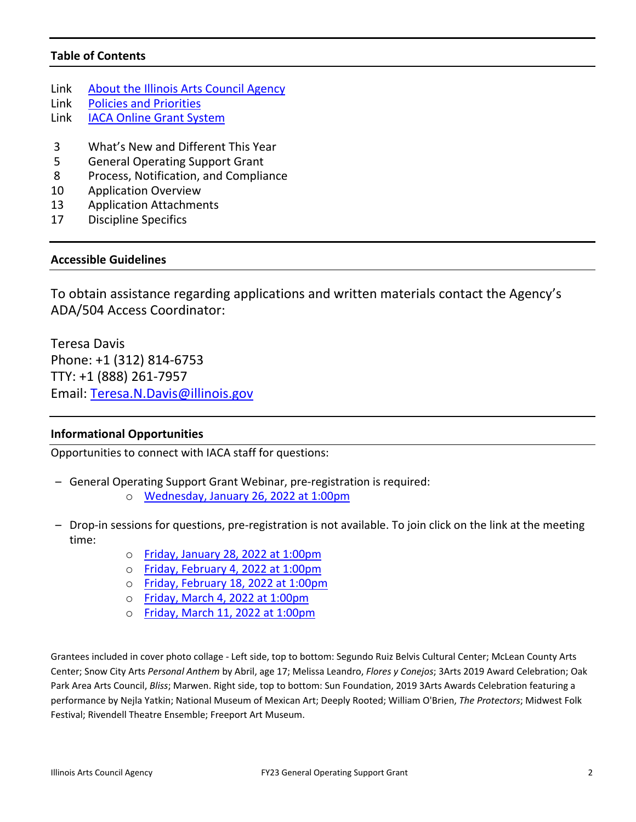## **Table of Contents**

- Link [About the Illinois Arts Council Agency](http://www.arts.illinois.gov/about-iaca)
- Link [Policies and Priorities](http://www.arts.illinois.gov/grants-programs/funding-programs/policies-priorities)
- Link [IACA Online Grant System](https://arts-illinois.force.com/)
- 3 What's New and Different This Year
- 5 General Operating Support Grant
- 8 Process, Notification, and Compliance
- 10 Application Overview
- 13 Application Attachments
- 17 Discipline Specifics

### **Accessible Guidelines**

To obtain assistance regarding applications and written materials contact the Agency's ADA/504 Access Coordinator:

Teresa Davis Phone: +1 (312) 814-6753 TTY: +1 (888) 261-7957 Email: [Teresa.N.Davis@illinois.gov](mailto:teresa.n.davis@illinois.gov) 

## **Informational Opportunities**

Opportunities to connect with IACA staff for questions:

- General Operating Support Grant Webinar, pre-registration is required:
	- o [Wednesday, January 26, 2022 at 1:00pm](https://illinois.webex.com/illinois/onstage/g.php?MTID=e753e22f8543ec709f13f6dae6f916e42)
- Drop-in sessions for questions, pre-registration is not available. To join click on the link at the meeting time:
	- o [Friday, January 28, 2022 at 1:00pm](https://illinois.webex.com/illinois/j.php?MTID=m1106d9eb4fa98ae1fdc205109b6f6b7d)
	- o [Friday, February 4, 2022 at 1:00pm](https://illinois.webex.com/illinois/j.php?MTID=m15526824dd3d676287d26b7dad3b0509)
	- o [Friday, February 18, 2022 at 1:00pm](https://illinois.webex.com/illinois/j.php?MTID=m948ad0e584673e80771ee3fd02b1c4c8)
	- o [Friday, March 4, 2022 at 1:00pm](https://illinois.webex.com/illinois/j.php?MTID=m9c5fb1346fea574d551b5eaed99c84f0)
	- o [Friday, March 11, 2022 at 1:00pm](https://illinois.webex.com/illinois/j.php?MTID=m30a72fb2ecc7ec017164103c871a0572)

Grantees included in cover photo collage - Left side, top to bottom: Segundo Ruiz Belvis Cultural Center; McLean County Arts Center; Snow City Arts *Personal Anthem* by Abril, age 17; Melissa Leandro, *Flores y Conejos*; 3Arts 2019 Award Celebration; Oak Park Area Arts Council, *Bliss*; Marwen. Right side, top to bottom: Sun Foundation, 2019 3Arts Awards Celebration featuring a performance by Nejla Yatkin; National Museum of Mexican Art; Deeply Rooted; William O'Brien, *The Protectors*; Midwest Folk Festival; Rivendell Theatre Ensemble; Freeport Art Museum.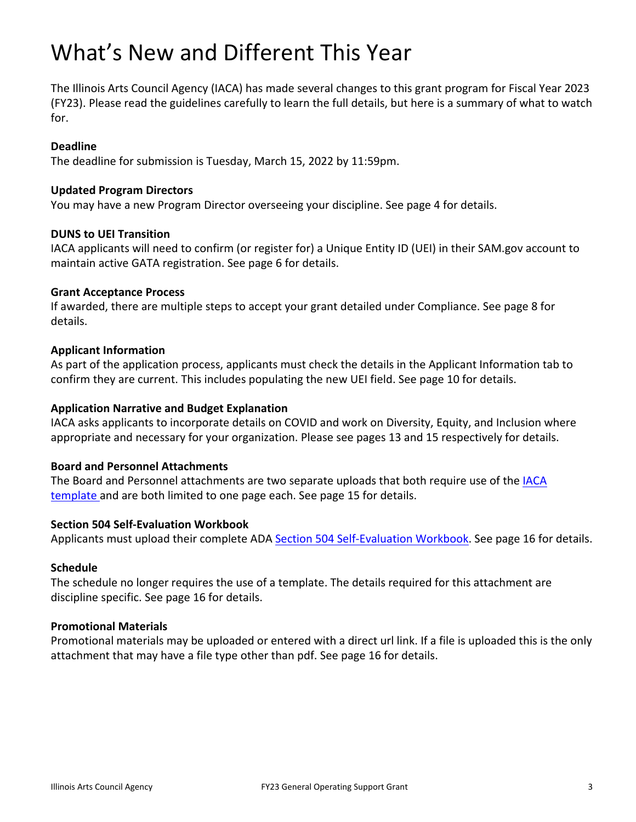# What's New and Different This Year

The Illinois Arts Council Agency (IACA) has made several changes to this grant program for Fiscal Year 2023 (FY23). Please read the guidelines carefully to learn the full details, but here is a summary of what to watch for.

### **Deadline**

The deadline for submission is Tuesday, March 15, 2022 by 11:59pm.

### **Updated Program Directors**

You may have a new Program Director overseeing your discipline. See page 4 for details.

### **DUNS to UEI Transition**

IACA applicants will need to confirm (or register for) a Unique Entity ID (UEI) in their SAM.gov account to maintain active GATA registration. See page 6 for details.

### **Grant Acceptance Process**

If awarded, there are multiple steps to accept your grant detailed under Compliance. See page 8 for details.

### **Applicant Information**

As part of the application process, applicants must check the details in the Applicant Information tab to confirm they are current. This includes populating the new UEI field. See page 10 for details.

### **Application Narrative and Budget Explanation**

IACA asks applicants to incorporate details on COVID and work on Diversity, Equity, and Inclusion where appropriate and necessary for your organization. Please see pages 13 and 15 respectively for details.

### **Board and Personnel Attachments**

The Board and Personnel attachments are two separate uploads that both require use of the IACA [template a](https://arts.illinois.gov/application-templates)nd are both limited to one page each. See page 15 for details.

### **Section 504 Self-Evaluation Workbook**

Applicants must upload their complete ADA [Section 504 Self-Evaluation Workbook.](https://www.arts.gov/sites/default/files/SECTION504Workbook.pdf) See page 16 for details.

### **Schedule**

The schedule no longer requires the use of a template. The details required for this attachment are discipline specific. See page 16 for details.

### **Promotional Materials**

Promotional materials may be uploaded or entered with a direct url link. If a file is uploaded this is the only attachment that may have a file type other than pdf. See page 16 for details.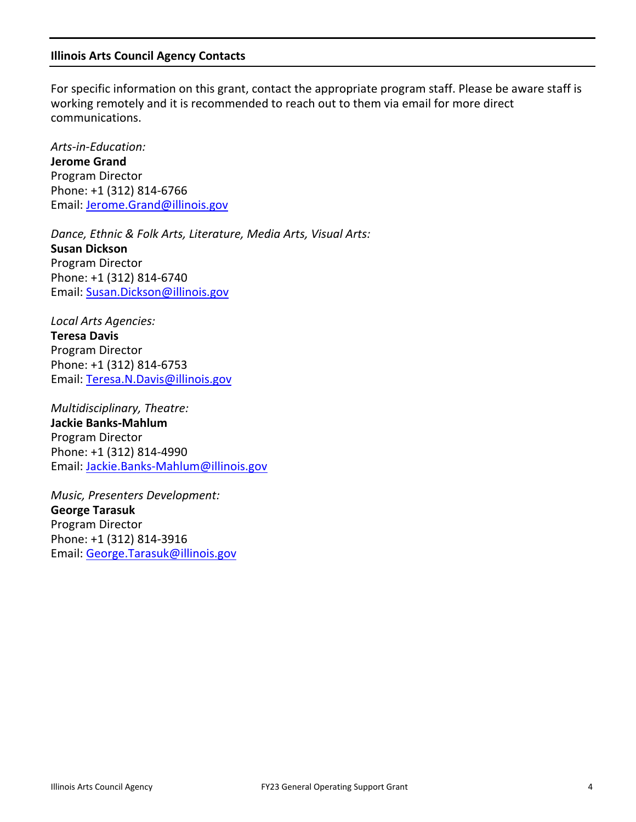### **Illinois Arts Council Agency Contacts**

For specific information on this grant, contact the appropriate program staff. Please be aware staff is working remotely and it is recommended to reach out to them via email for more direct communications.

*Arts-in-Education:* **Jerome Grand**  Program Director Phone: +1 (312) 814-6766 Email: [Jerome.Grand@illinois.gov](mailto:Jerome.Grand@illinois.gov)

*Dance, Ethnic & Folk Arts, Literature, Media Arts, Visual Arts:* **Susan Dickson** Program Director Phone: +1 (312) 814-6740 Email: [Susan.Dickson@illinois.gov](mailto:Susan.Dickson@illinois.gov)

*Local Arts Agencies:* **Teresa Davis** Program Director Phone: +1 (312) 814-6753 Email: [Teresa.N.Davis@illinois.gov](mailto:teresa.n.davis@illinois.gov)

*Multidisciplinary, Theatre:* **Jackie Banks-Mahlum** Program Director Phone: +1 (312) 814-4990 Email: [Jackie.Banks-Mahlum@illinois.gov](mailto:Jackie.Banks-Mahlum@illinois.gov)

*Music, Presenters Development:* **George Tarasuk**  Program Director Phone: +1 (312) 814-3916 Email: [George.Tarasuk@illinois.gov](mailto:George.Tarasuk@illinois.gov)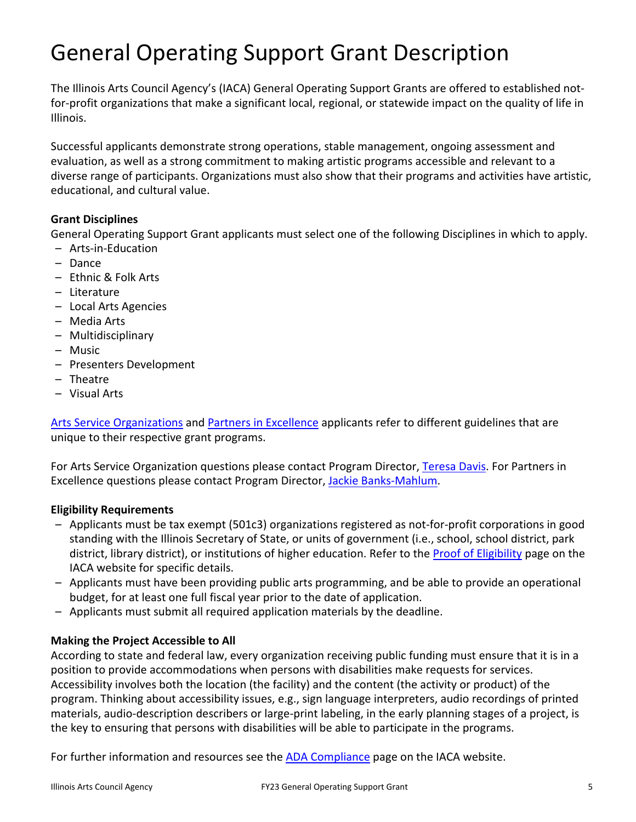# General Operating Support Grant Description

The Illinois Arts Council Agency's (IACA) General Operating Support Grants are offered to established notfor-profit organizations that make a significant local, regional, or statewide impact on the quality of life in Illinois.

Successful applicants demonstrate strong operations, stable management, ongoing assessment and evaluation, as well as a strong commitment to making artistic programs accessible and relevant to a diverse range of participants. Organizations must also show that their programs and activities have artistic, educational, and cultural value.

## **Grant Disciplines**

General Operating Support Grant applicants must select one of the following Disciplines in which to apply.

- Arts-in-Education
- Dance
- Ethnic & Folk Arts
- Literature
- Local Arts Agencies
- Media Arts
- Multidisciplinary
- Music
- Presenters Development
- Theatre
- Visual Arts

[Arts Service Organizations](http://www.arts.illinois.gov/grants-programs/funding-programs/arts-service-organizations) and [Partners in Excellence](http://www.arts.illinois.gov/grants-programs/funding-programs/partners-excellence) applicants refer to different guidelines that are unique to their respective grant programs.

For Arts Service Organization questions please contact Program Director[, Teresa Davis.](mailto:Teresa.N.Davis@illinois.gov) For Partners in Excellence questions please contact Program Director, [Jackie Banks-Mahlum.](mailto:Jackie.Banks-Mahlum@illinois.gov)

## **Eligibility Requirements**

- Applicants must be tax exempt (501c3) organizations registered as not-for-profit corporations in good standing with the Illinois Secretary of State, or units of government (i.e., school, school district, park district, library district), or institutions of higher education. Refer to the [Proof of Eligibility](http://www.arts.illinois.gov/Proof%20of%20Eligibility) page on the IACA website for specific details.
- Applicants must have been providing public arts programming, and be able to provide an operational budget, for at least one full fiscal year prior to the date of application.
- Applicants must submit all required application materials by the deadline.

# **Making the Project Accessible to All**

According to state and federal law, every organization receiving public funding must ensure that it is in a position to provide accommodations when persons with disabilities make requests for services. Accessibility involves both the location (the facility) and the content (the activity or product) of the program. Thinking about accessibility issues, e.g., sign language interpreters, audio recordings of printed materials, audio-description describers or large-print labeling, in the early planning stages of a project, is the key to ensuring that persons with disabilities will be able to participate in the programs.

For further information and resources see the **ADA Compliance** page on the IACA website.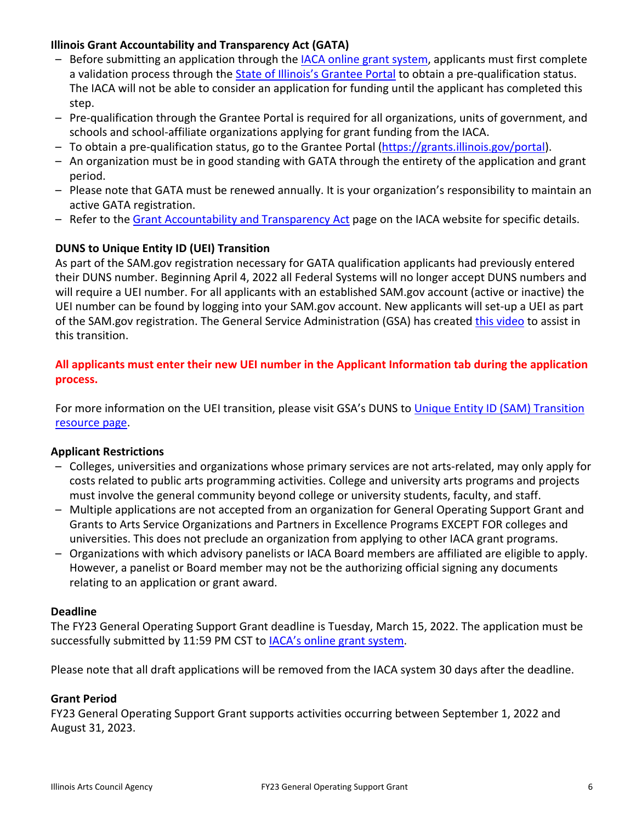# **Illinois Grant Accountability and Transparency Act (GATA)**

- Before submitting an application through the **IACA online grant system**, applicants must first complete a validation process through the [State of Illinois's Grantee Portal](https://grants.illinois.gov/portal/) to obtain a pre-qualification status. The IACA will not be able to consider an application for funding until the applicant has completed this step.
- Pre-qualification through the Grantee Portal is required for all organizations, units of government, and schools and school-affiliate organizations applying for grant funding from the IACA.
- To obtain a pre-qualification status, go to the Grantee Portal [\(https://grants.illinois.gov/portal\)](https://grants.illinois.gov/portal).
- An organization must be in good standing with GATA through the entirety of the application and grant period.
- Please note that GATA must be renewed annually. It is your organization's responsibility to maintain an active GATA registration.
- Refer to the [Grant Accountability and Transparency Act](https://arts.illinois.gov/sites/default/files/content/FY23%20GATA.pdf) page on the IACA website for specific details.

# **DUNS to Unique Entity ID (UEI) Transition**

As part of the SAM.gov registration necessary for GATA qualification applicants had previously entered their DUNS number. Beginning April 4, 2022 all Federal Systems will no longer accept DUNS numbers and will require a UEI number. For all applicants with an established SAM.gov account (active or inactive) the UEI number can be found by logging into your SAM.gov account. New applicants will set-up a UEI as part of the SAM.gov registration. The General Service Administration (GSA) has create[d this video](https://www.youtube.com/watch?v=4Hqs_L0B5kI) to assist in this transition.

**All applicants must enter their new UEI number in the Applicant Information tab during the application process.** 

For more information on the UEI transition, please visit GSA's DUNS to Unique Entity ID (SAM) Transition [resource page.](https://sam.gov/content/duns-uei)

# **Applicant Restrictions**

- Colleges, universities and organizations whose primary services are not arts-related, may only apply for costs related to public arts programming activities. College and university arts programs and projects must involve the general community beyond college or university students, faculty, and staff.
- Multiple applications are not accepted from an organization for General Operating Support Grant and Grants to Arts Service Organizations and Partners in Excellence Programs EXCEPT FOR colleges and universities. This does not preclude an organization from applying to other IACA grant programs.
- Organizations with which advisory panelists or IACA Board members are affiliated are eligible to apply. However, a panelist or Board member may not be the authorizing official signing any documents relating to an application or grant award.

# **Deadline**

The FY23 General Operating Support Grant deadline is Tuesday, March 15, 2022. The application must be successfully submitted by 11:59 PM CST to [IACA's online grant system.](https://arts-illinois.force.com/)

Please note that all draft applications will be removed from the IACA system 30 days after the deadline.

# **Grant Period**

FY23 General Operating Support Grant supports activities occurring between September 1, 2022 and August 31, 2023.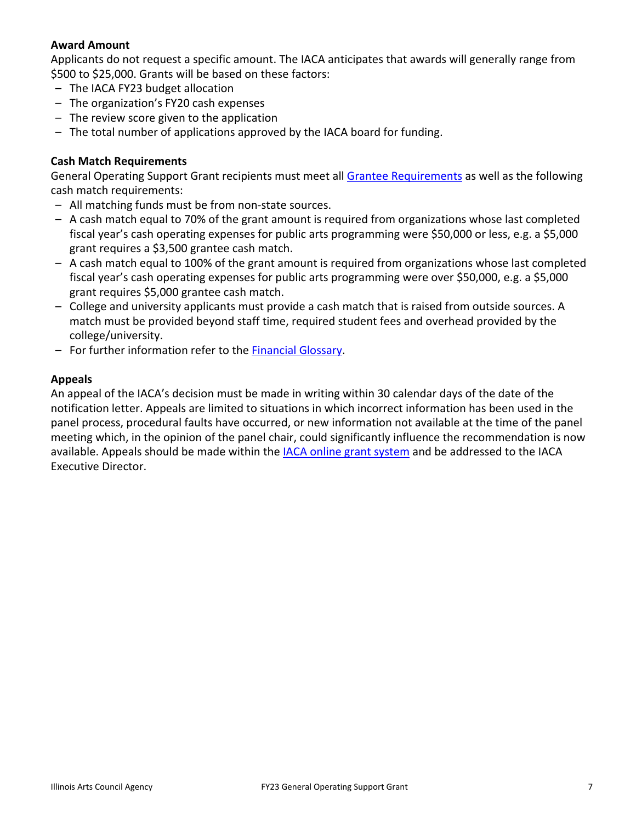# **Award Amount**

Applicants do not request a specific amount. The IACA anticipates that awards will generally range from \$500 to \$25,000. Grants will be based on these factors:

- The IACA FY23 budget allocation
- The organization's FY20 cash expenses
- The review score given to the application
- The total number of applications approved by the IACA board for funding.

## **Cash Match Requirements**

General Operating Support Grant recipients must meet all [Grantee Requirements](http://www.arts.illinois.gov/grantee-requirements) as well as the following cash match requirements:

- All matching funds must be from non-state sources.
- A cash match equal to 70% of the grant amount is required from organizations whose last completed fiscal year's cash operating expenses for public arts programming were \$50,000 or less, e.g. a \$5,000 grant requires a \$3,500 grantee cash match.
- A cash match equal to 100% of the grant amount is required from organizations whose last completed fiscal year's cash operating expenses for public arts programming were over \$50,000, e.g. a \$5,000 grant requires \$5,000 grantee cash match.
- College and university applicants must provide a cash match that is raised from outside sources. A match must be provided beyond staff time, required student fees and overhead provided by the college/university.
- For further information refer to the [Financial Glossary.](https://arts.illinois.gov/sites/default/files/content/Financial_Glossary.pdf)

## **Appeals**

An appeal of the IACA's decision must be made in writing within 30 calendar days of the date of the notification letter. Appeals are limited to situations in which incorrect information has been used in the panel process, procedural faults have occurred, or new information not available at the time of the panel meeting which, in the opinion of the panel chair, could significantly influence the recommendation is now available. Appeals should be made within the [IACA online grant system](https://arts-illinois.force.com/) and be addressed to the IACA Executive Director.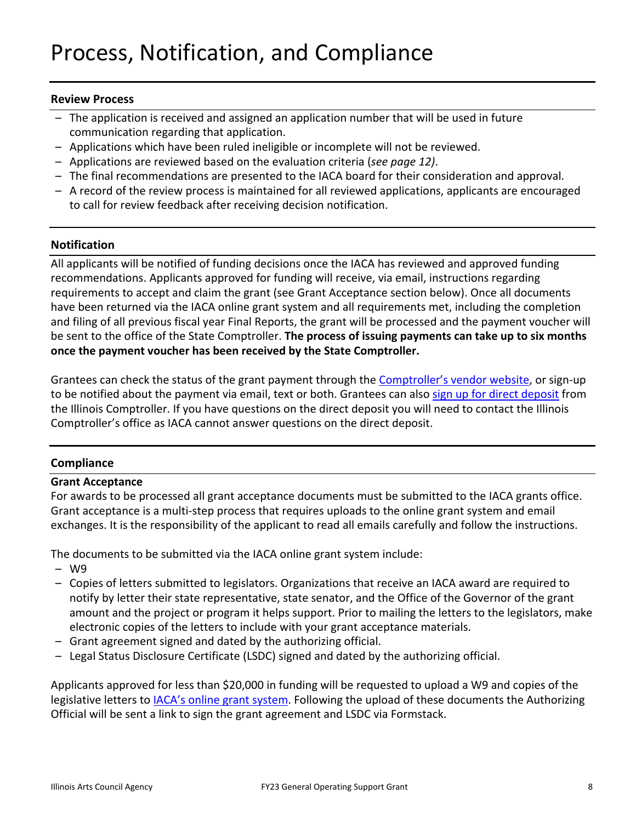# Process, Notification, and Compliance

### **Review Process**

- The application is received and assigned an application number that will be used in future communication regarding that application.
- Applications which have been ruled ineligible or incomplete will not be reviewed.
- Applications are reviewed based on the evaluation criteria (*see page 12)*.
- The final recommendations are presented to the IACA board for their consideration and approval.
- A record of the review process is maintained for all reviewed applications, applicants are encouraged to call for review feedback after receiving decision notification.

### **Notification**

All applicants will be notified of funding decisions once the IACA has reviewed and approved funding recommendations. Applicants approved for funding will receive, via email, instructions regarding requirements to accept and claim the grant (see Grant Acceptance section below). Once all documents have been returned via the IACA online grant system and all requirements met, including the completion and filing of all previous fiscal year Final Reports, the grant will be processed and the payment voucher will be sent to the office of the State Comptroller. **The process of issuing payments can take up to six months once the payment voucher has been received by the State Comptroller.**

Grantees can check the status of the grant payment through the [Comptroller's vendor website,](https://illinoiscomptroller.gov/vendors/vendor-payments-new/) or sign-up to be notified about the payment via email, text or both. Grantees can also [sign up for direct deposit](https://illinoiscomptroller.gov/vendors/direct-deposit-sign-up/) from the Illinois Comptroller. If you have questions on the direct deposit you will need to contact the Illinois Comptroller's office as IACA cannot answer questions on the direct deposit.

## **Compliance**

### **Grant Acceptance**

For awards to be processed all grant acceptance documents must be submitted to the IACA grants office. Grant acceptance is a multi-step process that requires uploads to the online grant system and email exchanges. It is the responsibility of the applicant to read all emails carefully and follow the instructions.

The documents to be submitted via the IACA online grant system include:

- W9
- Copies of letters submitted to legislators. Organizations that receive an IACA award are required to notify by letter their state representative, state senator, and the Office of the Governor of the grant amount and the project or program it helps support. Prior to mailing the letters to the legislators, make electronic copies of the letters to include with your grant acceptance materials.
- Grant agreement signed and dated by the authorizing official.
- Legal Status Disclosure Certificate (LSDC) signed and dated by the authorizing official.

Applicants approved for less than \$20,000 in funding will be requested to upload a W9 and copies of the legislative letters to <u>IACA's online grant system</u>. Following the upload of these documents the Authorizing Official will be sent a link to sign the grant agreement and LSDC via Formstack.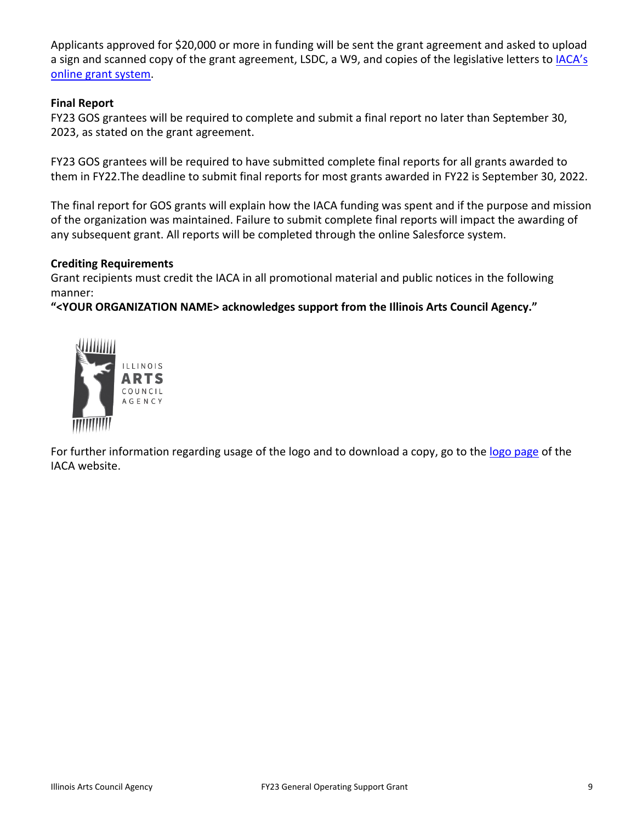Applicants approved for \$20,000 or more in funding will be sent the grant agreement and asked to upload a sign and scanned copy of the grant agreement, LSDC, a W9, and copies of the legislative letters to IACA's [online grant system.](https://arts-illinois.force.com/)

## **Final Report**

FY23 GOS grantees will be required to complete and submit a final report no later than September 30, 2023, as stated on the grant agreement.

FY23 GOS grantees will be required to have submitted complete final reports for all grants awarded to them in FY22.The deadline to submit final reports for most grants awarded in FY22 is September 30, 2022.

The final report for GOS grants will explain how the IACA funding was spent and if the purpose and mission of the organization was maintained. Failure to submit complete final reports will impact the awarding of any subsequent grant. All reports will be completed through the online Salesforce system.

## **Crediting Requirements**

Grant recipients must credit the IACA in all promotional material and public notices in the following manner:

**"<YOUR ORGANIZATION NAME> acknowledges support from the Illinois Arts Council Agency."**



For further information regarding usage of the logo and to download a copy, go to the [logo page](http://www.arts.illinois.gov/IACLogo) of the IACA website.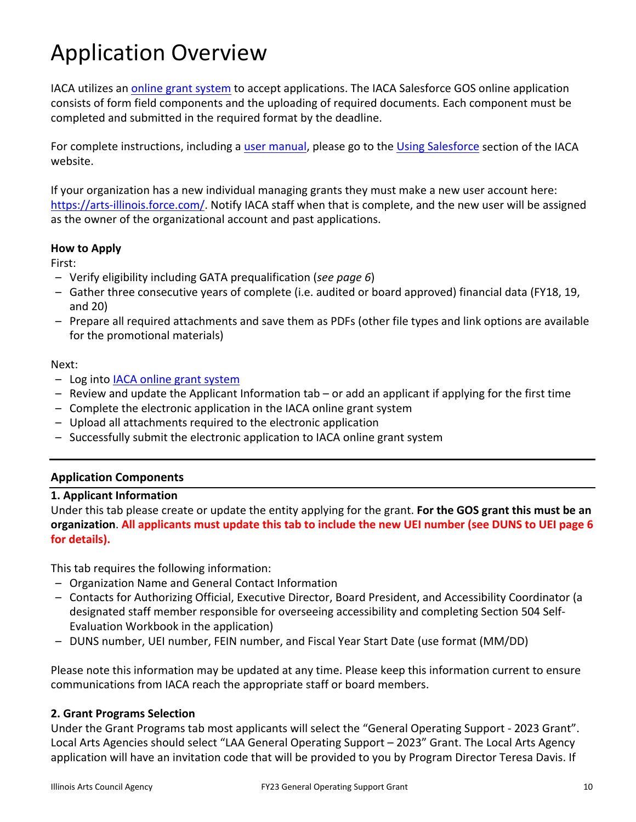# Application Overview

IACA utilizes an [online grant system](https://arts-illinois.force.com/) to accept applications. The IACA Salesforce GOS online application consists of form field components and the uploading of required documents. Each component must be completed and submitted in the required format by the deadline.

For complete instructions, including a [user manual,](https://arts.illinois.gov/sites/default/files/content/IACA%20Applicant%20User%20Manual.pdf) please go to the [Using Salesforce](https://arts.illinois.gov/using-salesforce) section of the IACA website.

If your organization has a new individual managing grants they must make a new user account here: [https://arts-illinois.force.com/.](https://arts-illinois.force.com/) Notify IACA staff when that is complete, and the new user will be assigned as the owner of the organizational account and past applications.

## **How to Apply**

First:

- Verify eligibility including GATA prequalification (*see page 6*)
- Gather three consecutive years of complete (i.e. audited or board approved) financial data (FY18, 19, and 20)
- Prepare all required attachments and save them as PDFs (other file types and link options are available for the promotional materials)

### Next:

- Log into [IACA online grant system](https://arts-illinois.force.com/)
- Review and update the Applicant Information tab or add an applicant if applying for the first time
- Complete the electronic application in the IACA online grant system
- Upload all attachments required to the electronic application
- Successfully submit the electronic application to IACA online grant system

## **Application Components**

## **1. Applicant Information**

Under this tab please create or update the entity applying for the grant. **For the GOS grant this must be an organization**. **All applicants must update this tab to include the new UEI number (see DUNS to UEI page 6 for details).** 

This tab requires the following information:

- Organization Name and General Contact Information
- Contacts for Authorizing Official, Executive Director, Board President, and Accessibility Coordinator (a designated staff member responsible for overseeing accessibility and completing Section 504 Self-Evaluation Workbook in the application)
- DUNS number, UEI number, FEIN number, and Fiscal Year Start Date (use format (MM/DD)

Please note this information may be updated at any time. Please keep this information current to ensure communications from IACA reach the appropriate staff or board members.

## **2. Grant Programs Selection**

Under the Grant Programs tab most applicants will select the "General Operating Support - 2023 Grant". Local Arts Agencies should select "LAA General Operating Support – 2023" Grant. The Local Arts Agency application will have an invitation code that will be provided to you by Program Director Teresa Davis. If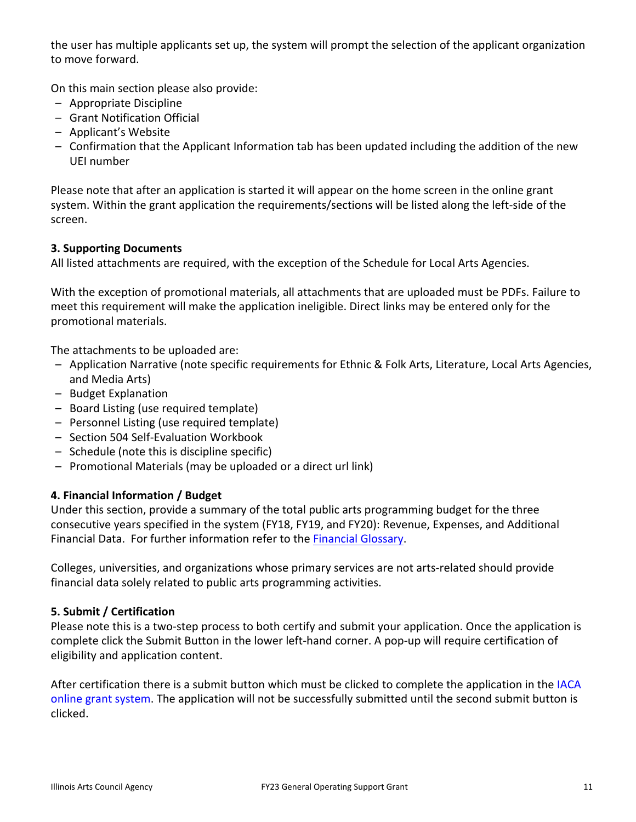the user has multiple applicants set up, the system will prompt the selection of the applicant organization to move forward.

On this main section please also provide:

- Appropriate Discipline
- Grant Notification Official
- Applicant's Website
- Confirmation that the Applicant Information tab has been updated including the addition of the new UEI number

Please note that after an application is started it will appear on the home screen in the online grant system. Within the grant application the requirements/sections will be listed along the left-side of the screen.

## **3. Supporting Documents**

All listed attachments are required, with the exception of the Schedule for Local Arts Agencies.

With the exception of promotional materials, all attachments that are uploaded must be PDFs. Failure to meet this requirement will make the application ineligible. Direct links may be entered only for the promotional materials.

The attachments to be uploaded are:

- Application Narrative (note specific requirements for Ethnic & Folk Arts, Literature, Local Arts Agencies, and Media Arts)
- Budget Explanation
- Board Listing (use required template)
- Personnel Listing (use required template)
- Section 504 Self-Evaluation Workbook
- Schedule (note this is discipline specific)
- Promotional Materials (may be uploaded or a direct url link)

## **4. Financial Information / Budget**

Under this section, provide a summary of the total public arts programming budget for the three consecutive years specified in the system (FY18, FY19, and FY20): Revenue, Expenses, and Additional Financial Data. For further information refer to the [Financial Glossary.](https://arts.illinois.gov/sites/default/files/content/Financial_Glossary.pdf)

Colleges, universities, and organizations whose primary services are not arts-related should provide financial data solely related to public arts programming activities.

## **5. Submit / Certification**

Please note this is a two-step process to both certify and submit your application. Once the application is complete click the Submit Button in the lower left-hand corner. A pop-up will require certification of eligibility and application content.

After certification there is a submit button which must be clicked to complete the application in the IACA [online grant system.](https://arts-illinois.force.com/) The application will not be successfully submitted until the second submit button is clicked.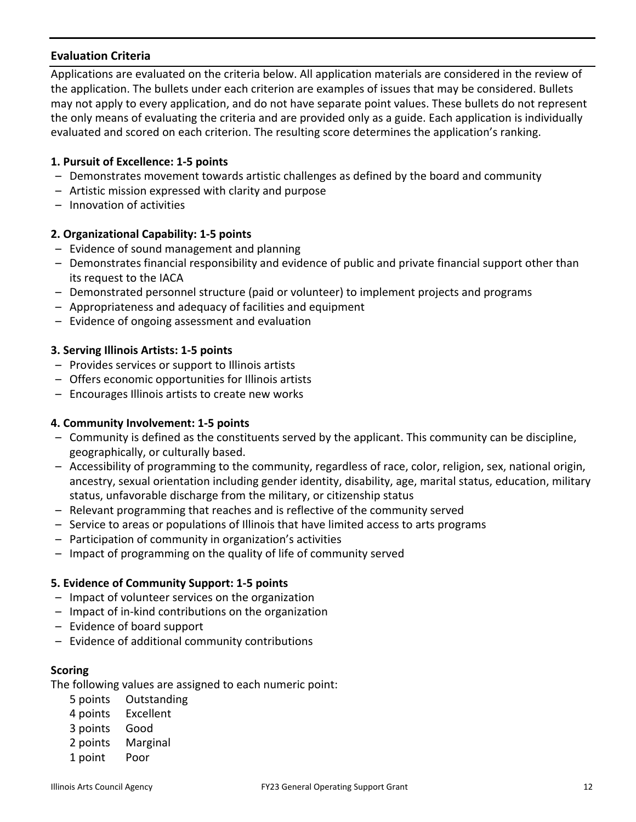## **Evaluation Criteria**

Applications are evaluated on the criteria below. All application materials are considered in the review of the application. The bullets under each criterion are examples of issues that may be considered. Bullets may not apply to every application, and do not have separate point values. These bullets do not represent the only means of evaluating the criteria and are provided only as a guide. Each application is individually evaluated and scored on each criterion. The resulting score determines the application's ranking.

### **1. Pursuit of Excellence: 1-5 points**

- Demonstrates movement towards artistic challenges as defined by the board and community
- Artistic mission expressed with clarity and purpose
- Innovation of activities

## **2. Organizational Capability: 1-5 points**

- Evidence of sound management and planning
- Demonstrates financial responsibility and evidence of public and private financial support other than its request to the IACA
- Demonstrated personnel structure (paid or volunteer) to implement projects and programs
- Appropriateness and adequacy of facilities and equipment
- Evidence of ongoing assessment and evaluation

### **3. Serving Illinois Artists: 1-5 points**

- Provides services or support to Illinois artists
- Offers economic opportunities for Illinois artists
- Encourages Illinois artists to create new works

### **4. Community Involvement: 1-5 points**

- Community is defined as the constituents served by the applicant. This community can be discipline, geographically, or culturally based.
- Accessibility of programming to the community, regardless of race, color, religion, sex, national origin, ancestry, sexual orientation including gender identity, disability, age, marital status, education, military status, unfavorable discharge from the military, or citizenship status
- Relevant programming that reaches and is reflective of the community served
- Service to areas or populations of Illinois that have limited access to arts programs
- Participation of community in organization's activities
- Impact of programming on the quality of life of community served

## **5. Evidence of Community Support: 1-5 points**

- Impact of volunteer services on the organization
- Impact of in-kind contributions on the organization
- Evidence of board support
- Evidence of additional community contributions

### **Scoring**

The following values are assigned to each numeric point:

- 5 points Outstanding
- 4 points Excellent
- 3 points Good
- 2 points Marginal
- 1 point Poor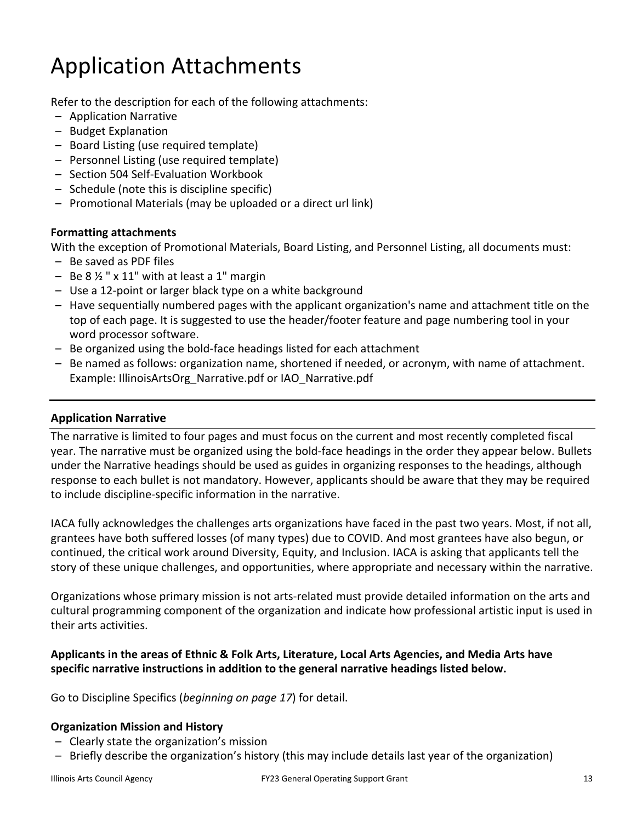# Application Attachments

Refer to the description for each of the following attachments:

- Application Narrative
- Budget Explanation
- Board Listing (use required template)
- Personnel Listing (use required template)
- Section 504 Self-Evaluation Workbook
- Schedule (note this is discipline specific)
- Promotional Materials (may be uploaded or a direct url link)

## **Formatting attachments**

With the exception of Promotional Materials, Board Listing, and Personnel Listing, all documents must:

- Be saved as PDF files
- $-$  Be 8  $\frac{1}{2}$  " x 11" with at least a 1" margin
- Use a 12-point or larger black type on a white background
- Have sequentially numbered pages with the applicant organization's name and attachment title on the top of each page. It is suggested to use the header/footer feature and page numbering tool in your word processor software.
- Be organized using the bold-face headings listed for each attachment
- Be named as follows: organization name, shortened if needed, or acronym, with name of attachment. Example: IllinoisArtsOrg\_Narrative.pdf or IAO\_Narrative.pdf

## **Application Narrative**

The narrative is limited to four pages and must focus on the current and most recently completed fiscal year. The narrative must be organized using the bold-face headings in the order they appear below. Bullets under the Narrative headings should be used as guides in organizing responses to the headings, although response to each bullet is not mandatory. However, applicants should be aware that they may be required to include discipline-specific information in the narrative.

IACA fully acknowledges the challenges arts organizations have faced in the past two years. Most, if not all, grantees have both suffered losses (of many types) due to COVID. And most grantees have also begun, or continued, the critical work around Diversity, Equity, and Inclusion. IACA is asking that applicants tell the story of these unique challenges, and opportunities, where appropriate and necessary within the narrative.

Organizations whose primary mission is not arts-related must provide detailed information on the arts and cultural programming component of the organization and indicate how professional artistic input is used in their arts activities.

## **Applicants in the areas of Ethnic & Folk Arts, Literature, Local Arts Agencies, and Media Arts have specific narrative instructions in addition to the general narrative headings listed below.**

Go to Discipline Specifics (*beginning on page 17*) for detail.

## **Organization Mission and History**

- Clearly state the organization's mission
- Briefly describe the organization's history (this may include details last year of the organization)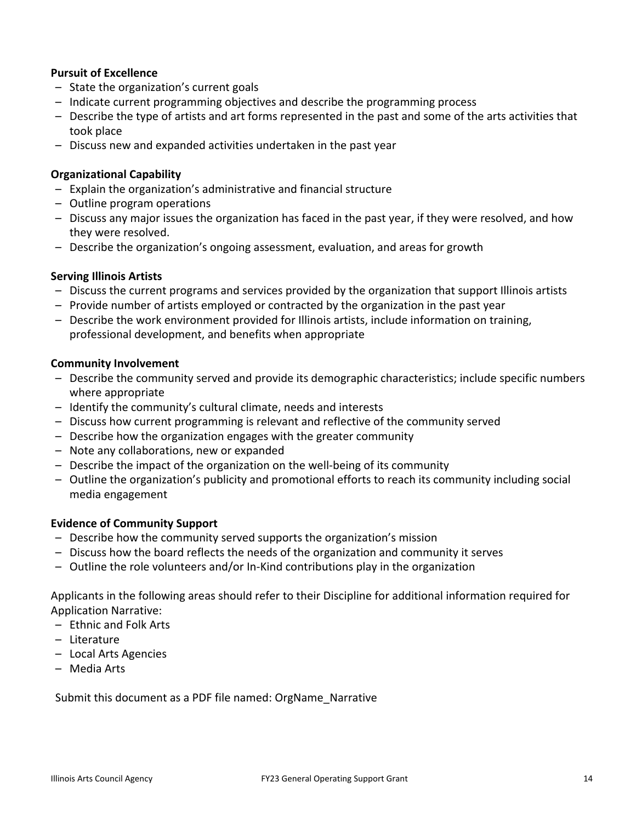### **Pursuit of Excellence**

- State the organization's current goals
- Indicate current programming objectives and describe the programming process
- Describe the type of artists and art forms represented in the past and some of the arts activities that took place
- Discuss new and expanded activities undertaken in the past year

### **Organizational Capability**

- Explain the organization's administrative and financial structure
- Outline program operations
- Discuss any major issues the organization has faced in the past year, if they were resolved, and how they were resolved.
- Describe the organization's ongoing assessment, evaluation, and areas for growth

### **Serving Illinois Artists**

- Discuss the current programs and services provided by the organization that support Illinois artists
- Provide number of artists employed or contracted by the organization in the past year
- Describe the work environment provided for Illinois artists, include information on training, professional development, and benefits when appropriate

### **Community Involvement**

- Describe the community served and provide its demographic characteristics; include specific numbers where appropriate
- Identify the community's cultural climate, needs and interests
- Discuss how current programming is relevant and reflective of the community served
- Describe how the organization engages with the greater community
- Note any collaborations, new or expanded
- Describe the impact of the organization on the well-being of its community
- Outline the organization's publicity and promotional efforts to reach its community including social media engagement

## **Evidence of Community Support**

- Describe how the community served supports the organization's mission
- Discuss how the board reflects the needs of the organization and community it serves
- Outline the role volunteers and/or In-Kind contributions play in the organization

Applicants in the following areas should refer to their Discipline for additional information required for Application Narrative:

- Ethnic and Folk Arts
- Literature
- Local Arts Agencies
- Media Arts

Submit this document as a PDF file named: OrgName\_Narrative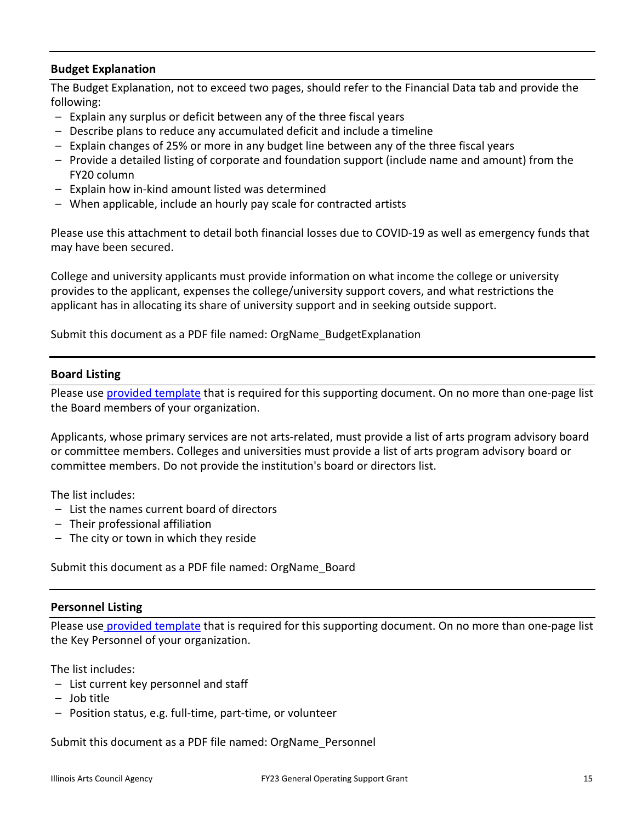# **Budget Explanation**

The Budget Explanation, not to exceed two pages, should refer to the Financial Data tab and provide the following:

- Explain any surplus or deficit between any of the three fiscal years
- Describe plans to reduce any accumulated deficit and include a timeline
- Explain changes of 25% or more in any budget line between any of the three fiscal years
- Provide a detailed listing of corporate and foundation support (include name and amount) from the FY20 column
- Explain how in-kind amount listed was determined
- When applicable, include an hourly pay scale for contracted artists

Please use this attachment to detail both financial losses due to COVID-19 as well as emergency funds that may have been secured.

College and university applicants must provide information on what income the college or university provides to the applicant, expenses the college/university support covers, and what restrictions the applicant has in allocating its share of university support and in seeking outside support.

Submit this document as a PDF file named: OrgName\_BudgetExplanation

### **Board Listing**

Please use [provided template](https://arts.illinois.gov/application-templates) that is required for this supporting document. On no more than one-page list the Board members of your organization.

Applicants, whose primary services are not arts-related, must provide a list of arts program advisory board or committee members. Colleges and universities must provide a list of arts program advisory board or committee members. Do not provide the institution's board or directors list.

The list includes:

- List the names current board of directors
- Their professional affiliation
- The city or town in which they reside

Submit this document as a PDF file named: OrgName\_Board

## **Personnel Listing**

Please use [provided template](https://arts.illinois.gov/application-templates) that is required for this supporting document. On no more than one-page list the Key Personnel of your organization.

The list includes:

- List current key personnel and staff
- Job title
- Position status, e.g. full-time, part-time, or volunteer

Submit this document as a PDF file named: OrgName\_Personnel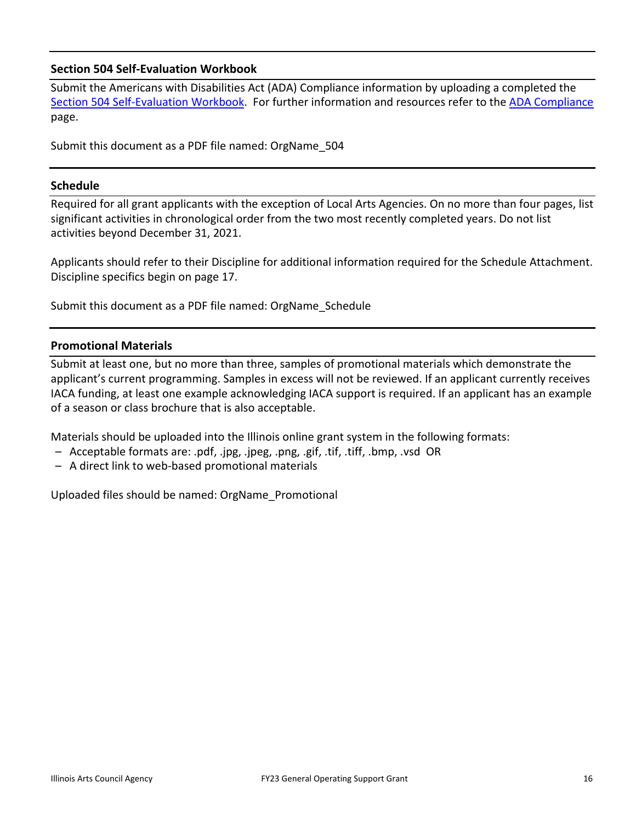## **Section 504 Self-Evaluation Workbook**

Submit the Americans with Disabilities Act (ADA) Compliance information by uploading a completed the [Section 504 Self-Evaluation Workbook.](https://www.arts.gov/sites/default/files/SECTION504Workbook.pdf) For further information and resources refer to the [ADA Compliance](https://arts.illinois.gov/sites/default/files/content/FY23%20ADA%20COMPLIANCE.pdf) page.

Submit this document as a PDF file named: OrgName\_504

## **Schedule**

Required for all grant applicants with the exception of Local Arts Agencies. On no more than four pages, list significant activities in chronological order from the two most recently completed years. Do not list activities beyond December 31, 2021.

Applicants should refer to their Discipline for additional information required for the Schedule Attachment. Discipline specifics begin on page 17.

Submit this document as a PDF file named: OrgName\_Schedule

## **Promotional Materials**

Submit at least one, but no more than three, samples of promotional materials which demonstrate the applicant's current programming. Samples in excess will not be reviewed. If an applicant currently receives IACA funding, at least one example acknowledging IACA support is required. If an applicant has an example of a season or class brochure that is also acceptable.

Materials should be uploaded into the Illinois online grant system in the following formats:

- Acceptable formats are: .pdf, .jpg, .jpeg, .png, .gif, .tif, .tiff, .bmp, .vsd OR
- A direct link to web-based promotional materials

Uploaded files should be named: OrgName\_Promotional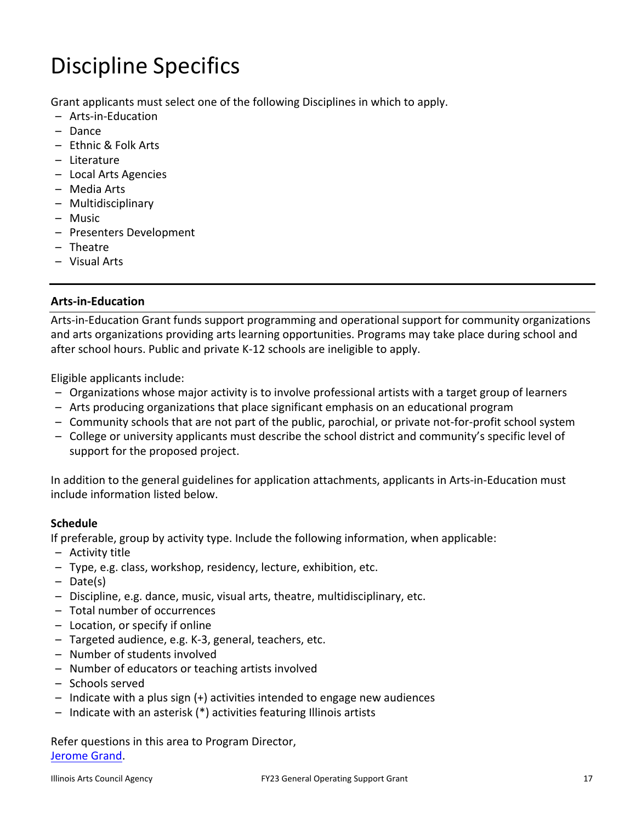# Discipline Specifics

Grant applicants must select one of the following Disciplines in which to apply.

- Arts-in-Education
- Dance
- Ethnic & Folk Arts
- Literature
- Local Arts Agencies
- Media Arts
- Multidisciplinary
- Music
- Presenters Development
- Theatre
- Visual Arts

# **Arts-in-Education**

Arts-in-Education Grant funds support programming and operational support for community organizations and arts organizations providing arts learning opportunities. Programs may take place during school and after school hours. Public and private K-12 schools are ineligible to apply.

Eligible applicants include:

- Organizations whose major activity is to involve professional artists with a target group of learners
- Arts producing organizations that place significant emphasis on an educational program
- Community schools that are not part of the public, parochial, or private not-for-profit school system
- College or university applicants must describe the school district and community's specific level of support for the proposed project.

In addition to the general guidelines for application attachments, applicants in Arts-in-Education must include information listed below.

## **Schedule**

If preferable, group by activity type. Include the following information, when applicable:

- Activity title
- Type, e.g. class, workshop, residency, lecture, exhibition, etc.
- Date(s)
- Discipline, e.g. dance, music, visual arts, theatre, multidisciplinary, etc.
- Total number of occurrences
- Location, or specify if online
- Targeted audience, e.g. K-3, general, teachers, etc.
- Number of students involved
- Number of educators or teaching artists involved
- Schools served
- Indicate with a plus sign (+) activities intended to engage new audiences
- Indicate with an asterisk (\*) activities featuring Illinois artists

Refer questions in this area to Program Director, [Jerome Grand.](mailto:jerome.grand@illinois.gov)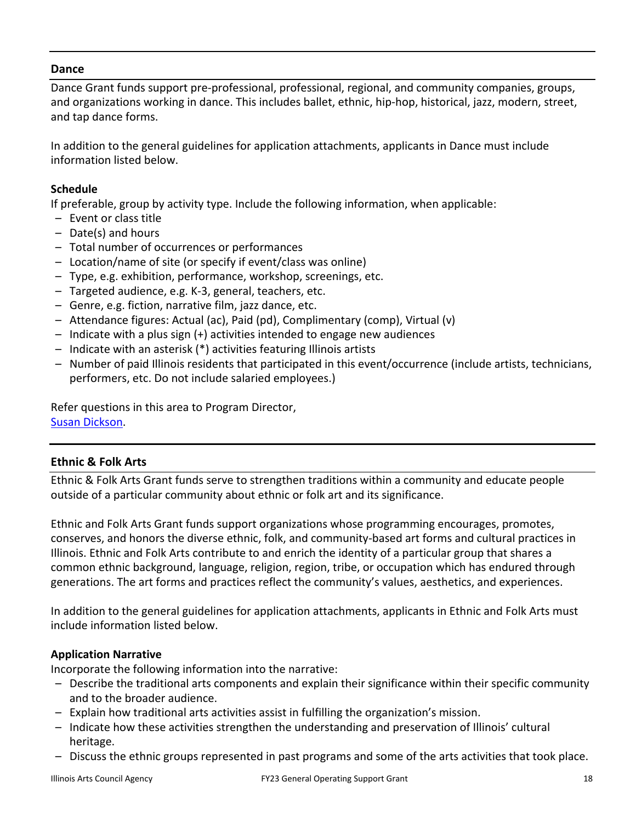## **Dance**

Dance Grant funds support pre-professional, professional, regional, and community companies, groups, and organizations working in dance. This includes ballet, ethnic, hip-hop, historical, jazz, modern, street, and tap dance forms.

In addition to the general guidelines for application attachments, applicants in Dance must include information listed below.

# **Schedule**

If preferable, group by activity type. Include the following information, when applicable:

- Event or class title
- Date(s) and hours
- Total number of occurrences or performances
- Location/name of site (or specify if event/class was online)
- Type, e.g. exhibition, performance, workshop, screenings, etc.
- Targeted audience, e.g. K-3, general, teachers, etc.
- Genre, e.g. fiction, narrative film, jazz dance, etc.
- Attendance figures: Actual (ac), Paid (pd), Complimentary (comp), Virtual (v)
- Indicate with a plus sign (+) activities intended to engage new audiences
- Indicate with an asterisk (\*) activities featuring Illinois artists
- Number of paid Illinois residents that participated in this event/occurrence (include artists, technicians, performers, etc. Do not include salaried employees.)

Refer questions in this area to Program Director, [Susan Dickson.](mailto:susan.dickson@illinois.gov)

# **Ethnic & Folk Arts**

Ethnic & Folk Arts Grant funds serve to strengthen traditions within a community and educate people outside of a particular community about ethnic or folk art and its significance.

Ethnic and Folk Arts Grant funds support organizations whose programming encourages, promotes, conserves, and honors the diverse ethnic, folk, and community-based art forms and cultural practices in Illinois. Ethnic and Folk Arts contribute to and enrich the identity of a particular group that shares a common ethnic background, language, religion, region, tribe, or occupation which has endured through generations. The art forms and practices reflect the community's values, aesthetics, and experiences.

In addition to the general guidelines for application attachments, applicants in Ethnic and Folk Arts must include information listed below.

## **Application Narrative**

Incorporate the following information into the narrative:

- Describe the traditional arts components and explain their significance within their specific community and to the broader audience.
- Explain how traditional arts activities assist in fulfilling the organization's mission.
- Indicate how these activities strengthen the understanding and preservation of Illinois' cultural heritage.
- Discuss the ethnic groups represented in past programs and some of the arts activities that took place.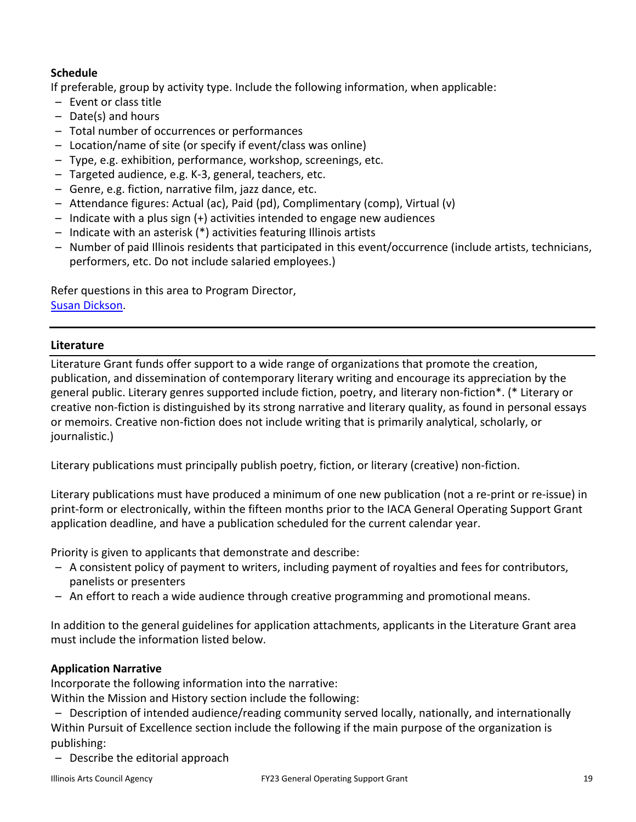# **Schedule**

If preferable, group by activity type. Include the following information, when applicable:

- Event or class title
- Date(s) and hours
- Total number of occurrences or performances
- Location/name of site (or specify if event/class was online)
- Type, e.g. exhibition, performance, workshop, screenings, etc.
- Targeted audience, e.g. K-3, general, teachers, etc.
- Genre, e.g. fiction, narrative film, jazz dance, etc.
- Attendance figures: Actual (ac), Paid (pd), Complimentary (comp), Virtual (v)
- Indicate with a plus sign (+) activities intended to engage new audiences
- Indicate with an asterisk (\*) activities featuring Illinois artists
- Number of paid Illinois residents that participated in this event/occurrence (include artists, technicians, performers, etc. Do not include salaried employees.)

Refer questions in this area to Program Director, [Susan Dickson.](mailto:susan.dickson@illinois.gov)

## **Literature**

Literature Grant funds offer support to a wide range of organizations that promote the creation, publication, and dissemination of contemporary literary writing and encourage its appreciation by the general public. Literary genres supported include fiction, poetry, and literary non-fiction\*. (\* Literary or creative non-fiction is distinguished by its strong narrative and literary quality, as found in personal essays or memoirs. Creative non-fiction does not include writing that is primarily analytical, scholarly, or journalistic.)

Literary publications must principally publish poetry, fiction, or literary (creative) non-fiction.

Literary publications must have produced a minimum of one new publication (not a re-print or re-issue) in print-form or electronically, within the fifteen months prior to the IACA General Operating Support Grant application deadline, and have a publication scheduled for the current calendar year.

Priority is given to applicants that demonstrate and describe:

- A consistent policy of payment to writers, including payment of royalties and fees for contributors, panelists or presenters
- An effort to reach a wide audience through creative programming and promotional means.

In addition to the general guidelines for application attachments, applicants in the Literature Grant area must include the information listed below.

# **Application Narrative**

Incorporate the following information into the narrative:

Within the Mission and History section include the following:

- Description of intended audience/reading community served locally, nationally, and internationally Within Pursuit of Excellence section include the following if the main purpose of the organization is publishing:
- Describe the editorial approach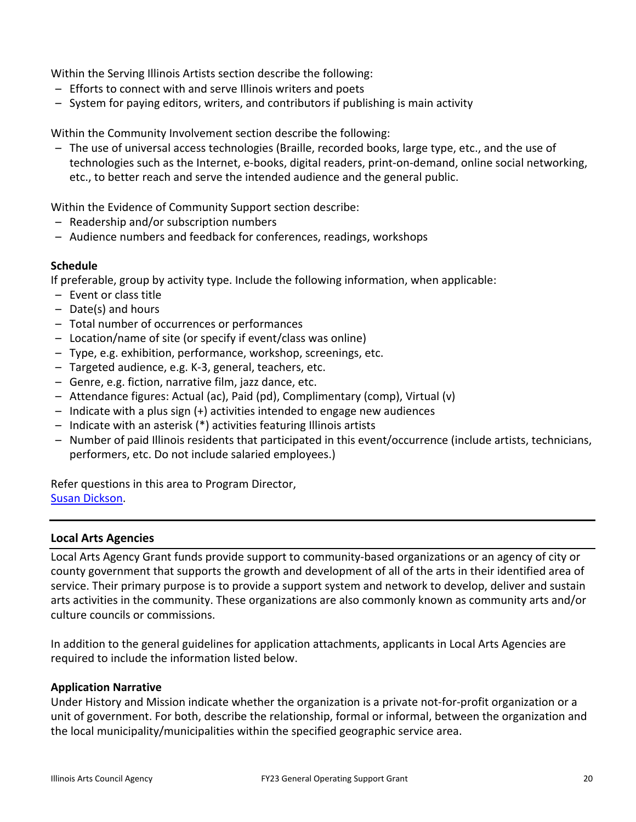Within the Serving Illinois Artists section describe the following:

- Efforts to connect with and serve Illinois writers and poets
- System for paying editors, writers, and contributors if publishing is main activity

Within the Community Involvement section describe the following:

– The use of universal access technologies (Braille, recorded books, large type, etc., and the use of technologies such as the Internet, e-books, digital readers, print-on-demand, online social networking, etc., to better reach and serve the intended audience and the general public.

Within the Evidence of Community Support section describe:

- Readership and/or subscription numbers
- Audience numbers and feedback for conferences, readings, workshops

### **Schedule**

If preferable, group by activity type. Include the following information, when applicable:

- Event or class title
- Date(s) and hours
- Total number of occurrences or performances
- Location/name of site (or specify if event/class was online)
- Type, e.g. exhibition, performance, workshop, screenings, etc.
- Targeted audience, e.g. K-3, general, teachers, etc.
- Genre, e.g. fiction, narrative film, jazz dance, etc.
- Attendance figures: Actual (ac), Paid (pd), Complimentary (comp), Virtual (v)
- Indicate with a plus sign (+) activities intended to engage new audiences
- Indicate with an asterisk (\*) activities featuring Illinois artists
- Number of paid Illinois residents that participated in this event/occurrence (include artists, technicians, performers, etc. Do not include salaried employees.)

Refer questions in this area to Program Director, [Susan Dickson.](mailto:susan.dickson@illinois.gov)

### **Local Arts Agencies**

Local Arts Agency Grant funds provide support to community-based organizations or an agency of city or county government that supports the growth and development of all of the arts in their identified area of service. Their primary purpose is to provide a support system and network to develop, deliver and sustain arts activities in the community. These organizations are also commonly known as community arts and/or culture councils or commissions.

In addition to the general guidelines for application attachments, applicants in Local Arts Agencies are required to include the information listed below.

### **Application Narrative**

Under History and Mission indicate whether the organization is a private not-for-profit organization or a unit of government. For both, describe the relationship, formal or informal, between the organization and the local municipality/municipalities within the specified geographic service area.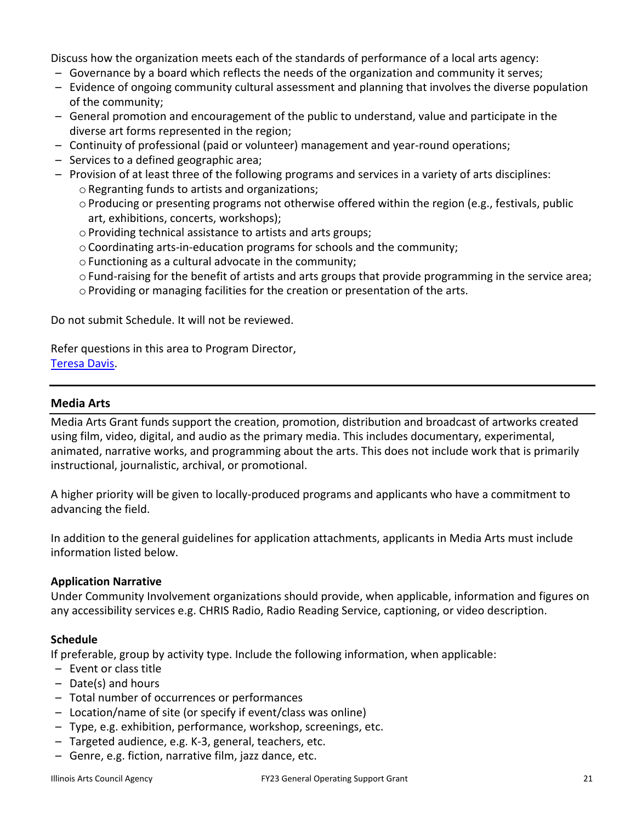Discuss how the organization meets each of the standards of performance of a local arts agency:

- Governance by a board which reflects the needs of the organization and community it serves;
- Evidence of ongoing community cultural assessment and planning that involves the diverse population of the community;
- General promotion and encouragement of the public to understand, value and participate in the diverse art forms represented in the region;
- Continuity of professional (paid or volunteer) management and year-round operations;
- Services to a defined geographic area;
- Provision of at least three of the following programs and services in a variety of arts disciplines: o Regranting funds to artists and organizations;
	- o Producing or presenting programs not otherwise offered within the region (e.g., festivals, public art, exhibitions, concerts, workshops);
	- o Providing technical assistance to artists and arts groups;
	- oCoordinating arts-in-education programs for schools and the community;
	- o Functioning as a cultural advocate in the community;
	- o Fund-raising for the benefit of artists and arts groups that provide programming in the service area;
	- o Providing or managing facilities for the creation or presentation of the arts.

Do not submit Schedule. It will not be reviewed.

Refer questions in this area to Program Director, [Teresa Davis.](mailto:Teresa.N.Davis@illinois.gov)

### **Media Arts**

Media Arts Grant funds support the creation, promotion, distribution and broadcast of artworks created using film, video, digital, and audio as the primary media. This includes documentary, experimental, animated, narrative works, and programming about the arts. This does not include work that is primarily instructional, journalistic, archival, or promotional.

A higher priority will be given to locally-produced programs and applicants who have a commitment to advancing the field.

In addition to the general guidelines for application attachments, applicants in Media Arts must include information listed below.

### **Application Narrative**

Under Community Involvement organizations should provide, when applicable, information and figures on any accessibility services e.g. CHRIS Radio, Radio Reading Service, captioning, or video description.

### **Schedule**

If preferable, group by activity type. Include the following information, when applicable:

- Event or class title
- Date(s) and hours
- Total number of occurrences or performances
- Location/name of site (or specify if event/class was online)
- Type, e.g. exhibition, performance, workshop, screenings, etc.
- Targeted audience, e.g. K-3, general, teachers, etc.
- Genre, e.g. fiction, narrative film, jazz dance, etc.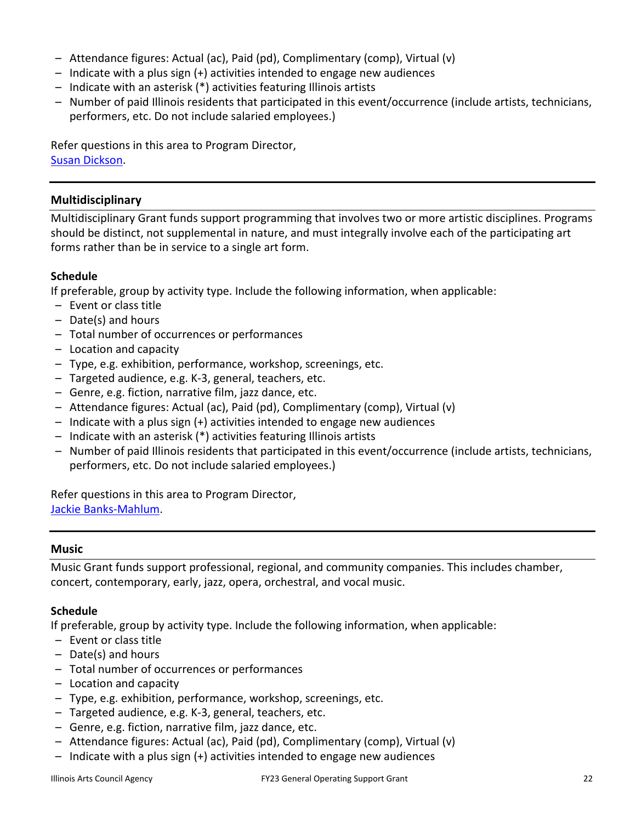- Attendance figures: Actual (ac), Paid (pd), Complimentary (comp), Virtual (v)
- Indicate with a plus sign (+) activities intended to engage new audiences
- Indicate with an asterisk (\*) activities featuring Illinois artists
- Number of paid Illinois residents that participated in this event/occurrence (include artists, technicians, performers, etc. Do not include salaried employees.)

Refer questions in this area to Program Director, [Susan Dickson.](mailto:susan.dickson@illinois.gov)

## **Multidisciplinary**

Multidisciplinary Grant funds support programming that involves two or more artistic disciplines. Programs should be distinct, not supplemental in nature, and must integrally involve each of the participating art forms rather than be in service to a single art form.

## **Schedule**

If preferable, group by activity type. Include the following information, when applicable:

- Event or class title
- Date(s) and hours
- Total number of occurrences or performances
- Location and capacity
- Type, e.g. exhibition, performance, workshop, screenings, etc.
- Targeted audience, e.g. K-3, general, teachers, etc.
- Genre, e.g. fiction, narrative film, jazz dance, etc.
- Attendance figures: Actual (ac), Paid (pd), Complimentary (comp), Virtual (v)
- Indicate with a plus sign (+) activities intended to engage new audiences
- Indicate with an asterisk (\*) activities featuring Illinois artists
- Number of paid Illinois residents that participated in this event/occurrence (include artists, technicians, performers, etc. Do not include salaried employees.)

Refer questions in this area to Program Director, [Jackie Banks-Mahlum.](mailto:Jackie.Banks-Mahlum@illinois.gov)

## **Music**

Music Grant funds support professional, regional, and community companies. This includes chamber, concert, contemporary, early, jazz, opera, orchestral, and vocal music.

## **Schedule**

If preferable, group by activity type. Include the following information, when applicable:

- Event or class title
- Date(s) and hours
- Total number of occurrences or performances
- Location and capacity
- Type, e.g. exhibition, performance, workshop, screenings, etc.
- Targeted audience, e.g. K-3, general, teachers, etc.
- Genre, e.g. fiction, narrative film, jazz dance, etc.
- Attendance figures: Actual (ac), Paid (pd), Complimentary (comp), Virtual (v)
- Indicate with a plus sign (+) activities intended to engage new audiences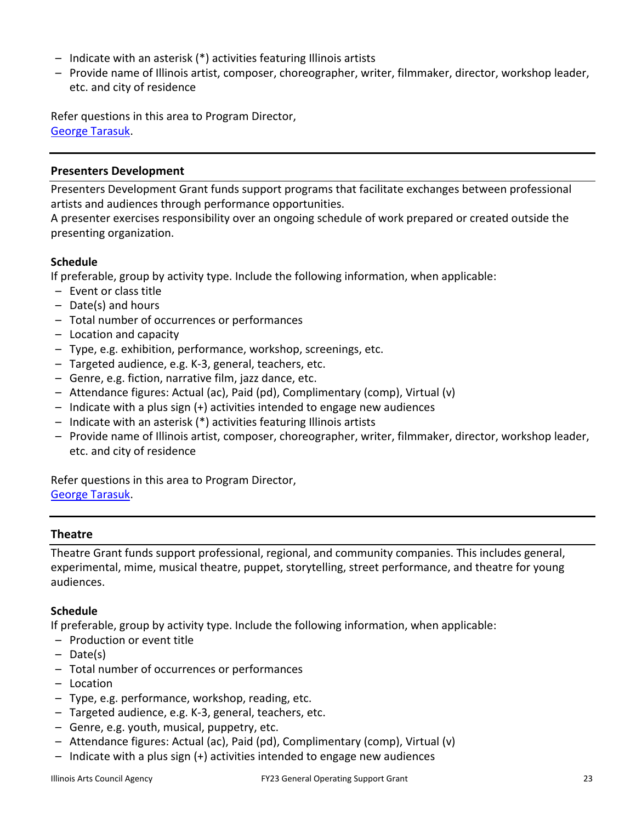- Indicate with an asterisk (\*) activities featuring Illinois artists
- Provide name of Illinois artist, composer, choreographer, writer, filmmaker, director, workshop leader, etc. and city of residence

Refer questions in this area to Program Director, [George Tarasuk.](mailto:george.tarasuk@illinois.gov)

## **Presenters Development**

Presenters Development Grant funds support programs that facilitate exchanges between professional artists and audiences through performance opportunities.

A presenter exercises responsibility over an ongoing schedule of work prepared or created outside the presenting organization.

## **Schedule**

If preferable, group by activity type. Include the following information, when applicable:

- Event or class title
- Date(s) and hours
- Total number of occurrences or performances
- Location and capacity
- Type, e.g. exhibition, performance, workshop, screenings, etc.
- Targeted audience, e.g. K-3, general, teachers, etc.
- Genre, e.g. fiction, narrative film, jazz dance, etc.
- Attendance figures: Actual (ac), Paid (pd), Complimentary (comp), Virtual (v)
- Indicate with a plus sign (+) activities intended to engage new audiences
- Indicate with an asterisk (\*) activities featuring Illinois artists
- Provide name of Illinois artist, composer, choreographer, writer, filmmaker, director, workshop leader, etc. and city of residence

Refer questions in this area to Program Director, [George Tarasuk.](mailto:george.tarasuk@illinois.gov)

### **Theatre**

Theatre Grant funds support professional, regional, and community companies. This includes general, experimental, mime, musical theatre, puppet, storytelling, street performance, and theatre for young audiences.

## **Schedule**

If preferable, group by activity type. Include the following information, when applicable:

- Production or event title
- Date(s)
- Total number of occurrences or performances
- Location
- Type, e.g. performance, workshop, reading, etc.
- Targeted audience, e.g. K-3, general, teachers, etc.
- Genre, e.g. youth, musical, puppetry, etc.
- Attendance figures: Actual (ac), Paid (pd), Complimentary (comp), Virtual (v)
- Indicate with a plus sign (+) activities intended to engage new audiences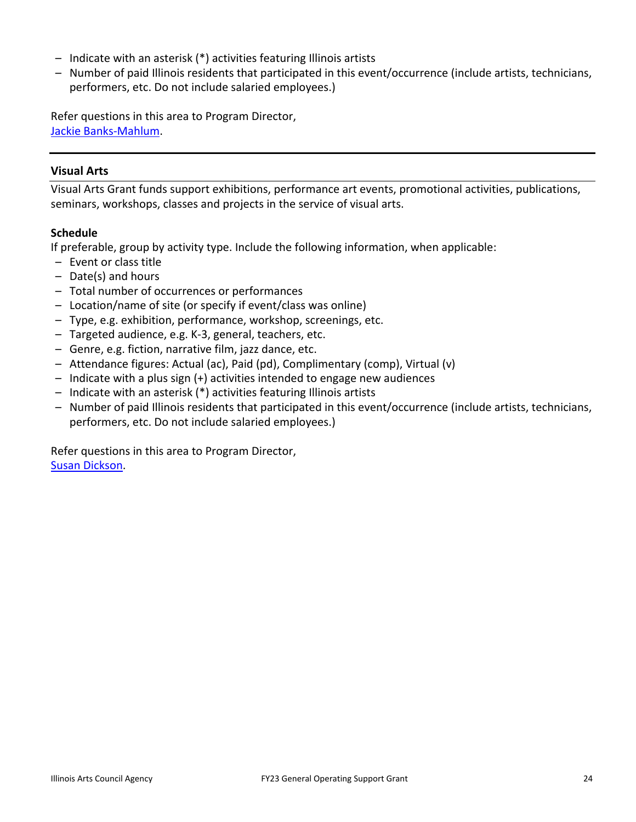- Indicate with an asterisk (\*) activities featuring Illinois artists
- Number of paid Illinois residents that participated in this event/occurrence (include artists, technicians, performers, etc. Do not include salaried employees.)

Refer questions in this area to Program Director, [Jackie Banks-Mahlum.](mailto:Jackie.Banks-Mahlum@illinois.gov)

### **Visual Arts**

Visual Arts Grant funds support exhibitions, performance art events, promotional activities, publications, seminars, workshops, classes and projects in the service of visual arts.

### **Schedule**

If preferable, group by activity type. Include the following information, when applicable:

- Event or class title
- Date(s) and hours
- Total number of occurrences or performances
- Location/name of site (or specify if event/class was online)
- Type, e.g. exhibition, performance, workshop, screenings, etc.
- Targeted audience, e.g. K-3, general, teachers, etc.
- Genre, e.g. fiction, narrative film, jazz dance, etc.
- Attendance figures: Actual (ac), Paid (pd), Complimentary (comp), Virtual (v)
- Indicate with a plus sign (+) activities intended to engage new audiences
- Indicate with an asterisk (\*) activities featuring Illinois artists
- Number of paid Illinois residents that participated in this event/occurrence (include artists, technicians, performers, etc. Do not include salaried employees.)

Refer questions in this area to Program Director, [Susan Dickson.](mailto:susan.dickson@illinois.gov)